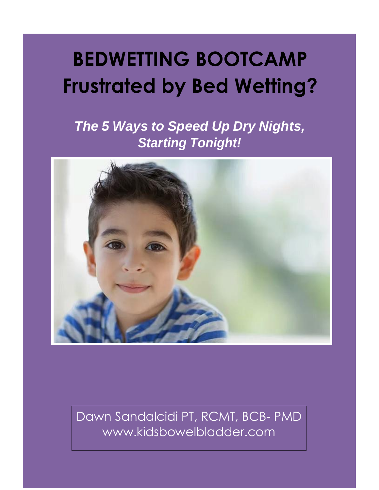# **BEDWETTING BOOTCAMP Frustrated by Bed Wetting?**

*The 5 Ways to Speed Up Dry Nights, Starting Tonight!*



Dawn Sandalcidi PT, RCMT, BCB- PMD www.kidsbowelbladder.com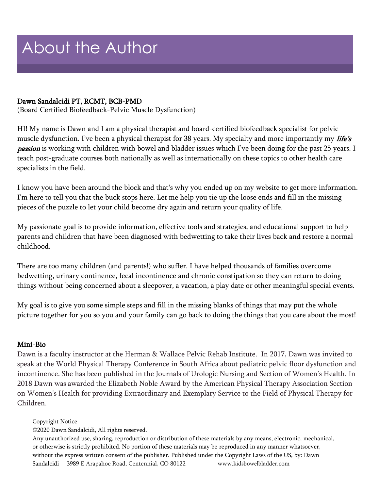# About the Author

#### Dawn Sandalcidi PT, RCMT, BCB-PMD

(Board Certified Biofeedback-Pelvic Muscle Dysfunction)

HI! My name is Dawn and I am a physical therapist and board-certified biofeedback specialist for pelvic muscle dysfunction. I've been a physical therapist for 38 years. My specialty and more importantly my *life's passion* is working with children with bowel and bladder issues which I've been doing for the past 25 years. I teach post-graduate courses both nationally as well as internationally on these topics to other health care specialists in the field.

I know you have been around the block and that's why you ended up on my website to get more information. I'm here to tell you that the buck stops here. Let me help you tie up the loose ends and fill in the missing pieces of the puzzle to let your child become dry again and return your quality of life.

My passionate goal is to provide information, effective tools and strategies, and educational support to help parents and children that have been diagnosed with bedwetting to take their lives back and restore a normal childhood.

There are too many children (and parents!) who suffer. I have helped thousands of families overcome bedwetting, urinary continence, fecal incontinence and chronic constipation so they can return to doing things without being concerned about a sleepover, a vacation, a play date or other meaningful special events.

My goal is to give you some simple steps and fill in the missing blanks of things that may put the whole picture together for you so you and your family can go back to doing the things that you care about the most!

### Mini-Bio

Dawn is a faculty instructor at the Herman & Wallace Pelvic Rehab Institute. In 2017, Dawn was invited to speak at the World Physical Therapy Conference in South Africa about pediatric pelvic floor dysfunction and incontinence. She has been published in the Journals of Urologic Nursing and Section of Women's Health. In 2018 Dawn was awarded the Elizabeth Noble Award by the American Physical Therapy Association Section on Women's Health for providing Extraordinary and Exemplary Service to the Field of Physical Therapy for Children.

#### Copyright Notice

©2020 Dawn Sandalcidi, All rights reserved.

Any unauthorized use, sharing, reproduction or distribution of these materials by any means, electronic, mechanical, or otherwise is strictly prohibited. No portion of these materials may be reproduced in any manner whatsoever, without the express written consent of the publisher. Published under the Copyright Laws of the US, by: Dawn Sandalcidi 3989 E Arapahoe Road, Centennial, CO 80122 www.kidsbowelbladder.com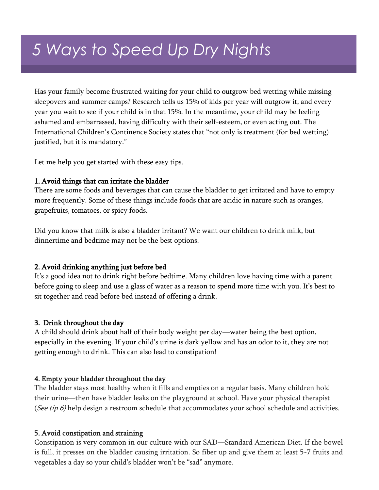## *5 Ways to Speed Up Dry Nights*

Has your family become frustrated waiting for your child to outgrow bed wetting while missing sleepovers and summer camps? Research tells us 15% of kids per year will outgrow it, and every year you wait to see if your child is in that 15%. In the meantime, your child may be feeling ashamed and embarrassed, having difficulty with their self-esteem, or even acting out. The International Children's Continence Society states that "not only is treatment (for bed wetting) justified, but it is mandatory."

Let me help you get started with these easy tips.

#### 1. Avoid things that can irritate the bladder

There are some foods and beverages that can cause the bladder to get irritated and have to empty more frequently. Some of these things include foods that are acidic in nature such as oranges, grapefruits, tomatoes, or spicy foods.

Did you know that milk is also a bladder irritant? We want our children to drink milk, but dinnertime and bedtime may not be the best options.

#### 2. Avoid drinking anything just before bed

It's a good idea not to drink right before bedtime. Many children love having time with a parent before going to sleep and use a glass of water as a reason to spend more time with you. It's best to sit together and read before bed instead of offering a drink.

#### 3. Drink throughout the day

A child should drink about half of their body weight per day—water being the best option, especially in the evening. If your child's urine is dark yellow and has an odor to it, they are not getting enough to drink. This can also lead to constipation!

#### 4. Empty your bladder throughout the day

The bladder stays most healthy when it fills and empties on a regular basis. Many children hold their urine—then have bladder leaks on the playground at school. Have your physical therapist (See tip 6) help design a restroom schedule that accommodates your school schedule and activities.

#### 5. Avoid constipation and straining

Constipation is very common in our culture with our SAD—Standard American Diet. If the bowel is full, it presses on the bladder causing irritation. So fiber up and give them at least 5-7 fruits and vegetables a day so your child's bladder won't be "sad" anymore.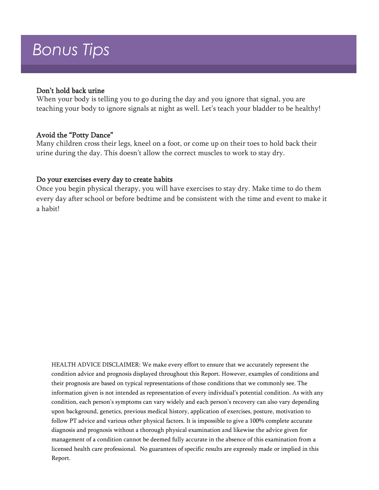### *Bonus Tips*

#### Don't hold back urine

When your body is telling you to go during the day and you ignore that signal, you are teaching your body to ignore signals at night as well. Let's teach your bladder to be healthy!

#### Avoid the "Potty Dance"

Many children cross their legs, kneel on a foot, or come up on their toes to hold back their urine during the day. This doesn't allow the correct muscles to work to stay dry.

#### Do your exercises every day to create habits

Once you begin physical therapy, you will have exercises to stay dry. Make time to do them every day after school or before bedtime and be consistent with the time and event to make it a habit!

HEALTH ADVICE DISCLAIMER: We make every effort to ensure that we accurately represent the condition advice and prognosis displayed throughout this Report. However, examples of conditions and their prognosis are based on typical representations of those conditions that we commonly see. The information given is not intended as representation of every individual's potential condition. As with any condition, each person's symptoms can vary widely and each person's recovery can also vary depending upon background, genetics, previous medical history, application of exercises, posture, motivation to follow PT advice and various other physical factors. It is impossible to give a 100% complete accurate diagnosis and prognosis without a thorough physical examination and likewise the advice given for management of a condition cannot be deemed fully accurate in the absence of this examination from a licensed health care professional. No guarantees of specific results are expressly made or implied in this Report.